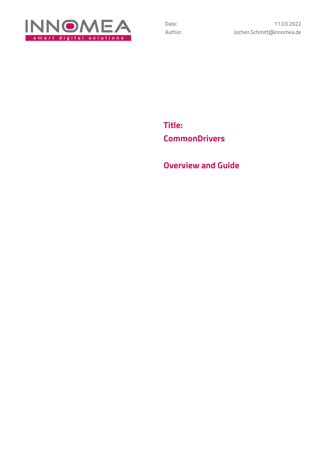

**Title: CommonDrivers**

**Overview and Guide**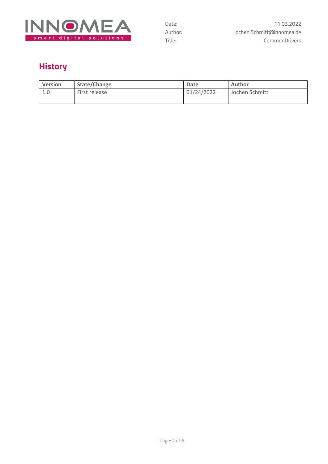

# **History**

| <b>Version</b> | State/Change  | Date       | Author         |
|----------------|---------------|------------|----------------|
| -1.0           | First release | 01/24/2022 | Jochen Schmitt |
|                |               |            |                |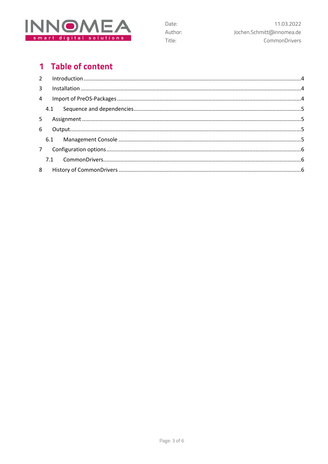

# 1 Table of content

| 3 <sup>7</sup> |  |
|----------------|--|
|                |  |
|                |  |
| 5.             |  |
| 6              |  |
|                |  |
|                |  |
|                |  |
|                |  |

Date:

Title:

Author: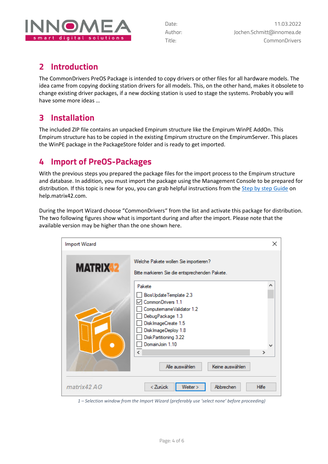

## <span id="page-3-0"></span>**2 Introduction**

The CommonDrivers PreOS Package is intended to copy drivers or other files for all hardware models. The idea came from copying docking station drivers for all models. This, on the other hand, makes it obsolete to change existing driver packages, if a new docking station is used to stage the systems. Probably you will have some more ideas …

## <span id="page-3-1"></span>**3 Installation**

The included ZIP file contains an unpacked Empirum structure like the Empirum WinPE AddOn. This Empirum structure has to be copied in the existing Empirum structure on the EmpirumServer. This places the WinPE package in the PackageStore folder and is ready to get imported.

## <span id="page-3-2"></span>**4 Import of PreOS-Packages**

With the previous steps you prepared the package files for the import process to the Empirum structure and database. In addition, you must import the package using the Management Console to be prepared for distribution. If this topic is new for you, you can grab helpful instructions from the [Step by step Guide](https://help.matrix42.com/010_SUEM/020_UEM/20Client_Management/OS_Deployment_Guide/WinPE_-_HowTo/2_Step_by_step_guide) on help.matrix42.com.

During the Import Wizard choose "CommonDrivers" from the list and activate this package for distribution. The two following figures show what is important during and after the import. Please note that the available version may be higher than the one shown here.

| <b>Import Wizard</b> |                                                                                                                                                                                                                                                                       | ×            |
|----------------------|-----------------------------------------------------------------------------------------------------------------------------------------------------------------------------------------------------------------------------------------------------------------------|--------------|
| <b>MATRIX 2</b>      | Welche Pakete wollen Sie importieren?<br>Bitte markieren Sie die entsprechenden Pakete.                                                                                                                                                                               |              |
|                      | Pakete<br>BiosUpdateTemplate 2.3<br>CommonDrivers 1.1<br>ComputemameValidator 1.2<br>DebugPackage 1.3<br>DiskImageCreate 1.5<br>DiskImageDeploy 1.8<br>Disk Partitioning 3.22<br>DomainJoin 1.10<br>$\left\langle \right\rangle$<br>Alle auswählen<br>Keine auswählen | Α<br>⋗       |
| matrix42 AG          | < Zurück<br>Weiter ><br>Abbrechen                                                                                                                                                                                                                                     | <b>Hilfe</b> |

*1 – Selection window from the Import Wizard (preferably use 'select none' before proceeding)*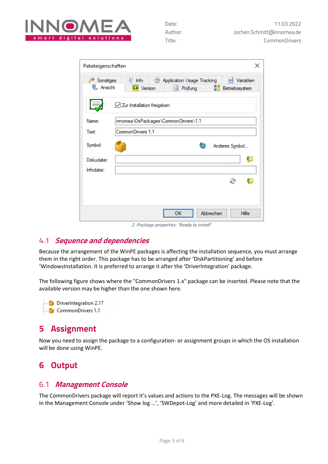

| Paketeigenschaften   | ×                                                                                                                              |
|----------------------|--------------------------------------------------------------------------------------------------------------------------------|
| Sonstiges<br>Ansicht | $\binom{1}{2}$ Info<br>Application Usage Tracking<br><b>E=1</b> Variablen<br>1.0 Version<br>Q Prüfung<br><b>Betriebssystem</b> |
|                      | Zur Installation freigeben                                                                                                     |
| Name:                | innomea\OsPackages\CommonDrivers\1.1                                                                                           |
| Text:                | CommonDrivers 1.1                                                                                                              |
| Symbol:              | Anderes Symbol                                                                                                                 |
| Dokudatei:           | C                                                                                                                              |
| Infodatei:           |                                                                                                                                |
|                      | æ<br>71                                                                                                                        |
|                      |                                                                                                                                |
|                      |                                                                                                                                |
|                      | ОΚ<br>Abbrechen<br><b>Hilfe</b>                                                                                                |

*2 -Package properties: 'Ready to install'*

### <span id="page-4-0"></span>4.1 **Sequence and dependencies**

Because the arrangement of the WinPE packages is affecting the installation sequence, you must arrange them in the right order. This package has to be arranged after 'DiskPartitioning' and before 'WindowsInstallation. It is preferred to arrange it after the 'DriverIntegration' package.

The following figure shows where the "CommonDrivers 1.x" package can be inserted. Please note that the available version may be higher than the one shown here.

DriverIntegration 2.17 CommonDrivers 1.1

## <span id="page-4-1"></span>**5 Assignment**

Now you need to assign the package to a configuration- or assignment groups in which the OS installation will be done using WinPE.

## <span id="page-4-2"></span>**6 Output**

### <span id="page-4-3"></span>6.1 **Management Console**

The CommonDrivers package will report it's values and actions to the PXE-Log. The messages will be shown in the Management Console under 'Show log …', 'SWDepot-Log' and more detailed in 'PXE-Log'.